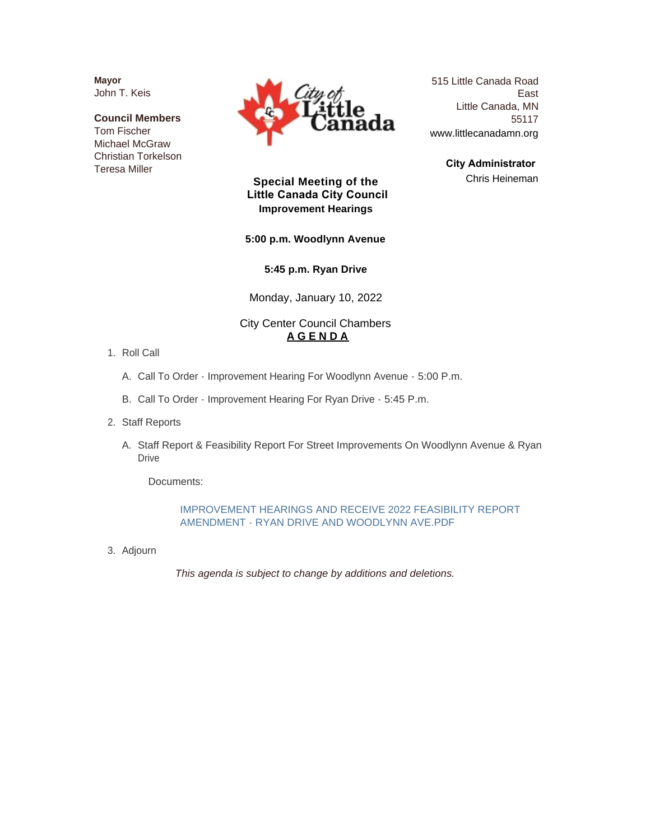**Mayor** John T. Keis

**Council Members** Tom Fischer Michael McGraw Christian Torkelson Teresa Miller



515 Little Canada Road East Little Canada, MN 55117 www.littlecanadamn.org

> **City Administrator**  Chris Heineman

#### **Special Meeting of the Little Canada City Council Improvement Hearings**

#### **5:00 p.m. Woodlynn Avenue**

**5:45 p.m. Ryan Drive**

Monday, January 10, 2022

#### City Center Council Chambers **A G E N D A**

- 1. Roll Call
	- A. Call To Order Improvement Hearing For Woodlynn Avenue 5:00 P.m.
	- B. Call To Order Improvement Hearing For Ryan Drive 5:45 P.m.
- 2. Staff Reports
	- A. Staff Report & Feasibility Report For Street Improvements On Woodlynn Avenue & Ryan Drive

Documents:

#### IMPROVEMENT HEARINGS AND RECEIVE 2022 FEASIBILITY REPORT AMENDMENT - RYAN DRIVE AND WOODLYNN AVE.PDF

3. Adjourn

*This agenda is subject to change by additions and deletions.*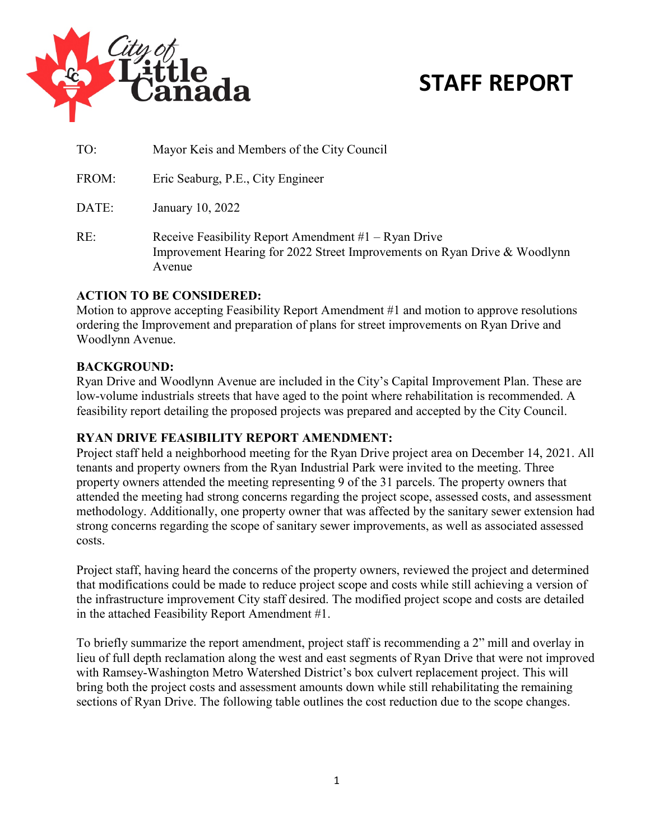

### **STAFF REPORT**

| TO: | Mayor Keis and Members of the City Council |
|-----|--------------------------------------------|
|     |                                            |

FROM: Eric Seaburg, P.E., City Engineer

DATE: January 10, 2022

RE: Receive Feasibility Report Amendment #1 – Ryan Drive Improvement Hearing for 2022 Street Improvements on Ryan Drive & Woodlynn Avenue

#### **ACTION TO BE CONSIDERED:**

Motion to approve accepting Feasibility Report Amendment #1 and motion to approve resolutions ordering the Improvement and preparation of plans for street improvements on Ryan Drive and Woodlynn Avenue.

#### **BACKGROUND:**

Ryan Drive and Woodlynn Avenue are included in the City's Capital Improvement Plan. These are low-volume industrials streets that have aged to the point where rehabilitation is recommended. A feasibility report detailing the proposed projects was prepared and accepted by the City Council.

#### **RYAN DRIVE FEASIBILITY REPORT AMENDMENT:**

Project staff held a neighborhood meeting for the Ryan Drive project area on December 14, 2021. All tenants and property owners from the Ryan Industrial Park were invited to the meeting. Three property owners attended the meeting representing 9 of the 31 parcels. The property owners that attended the meeting had strong concerns regarding the project scope, assessed costs, and assessment methodology. Additionally, one property owner that was affected by the sanitary sewer extension had strong concerns regarding the scope of sanitary sewer improvements, as well as associated assessed costs.

Project staff, having heard the concerns of the property owners, reviewed the project and determined that modifications could be made to reduce project scope and costs while still achieving a version of the infrastructure improvement City staff desired. The modified project scope and costs are detailed in the attached Feasibility Report Amendment #1.

To briefly summarize the report amendment, project staff is recommending a 2" mill and overlay in lieu of full depth reclamation along the west and east segments of Ryan Drive that were not improved with Ramsey-Washington Metro Watershed District's box culvert replacement project. This will bring both the project costs and assessment amounts down while still rehabilitating the remaining sections of Ryan Drive. The following table outlines the cost reduction due to the scope changes.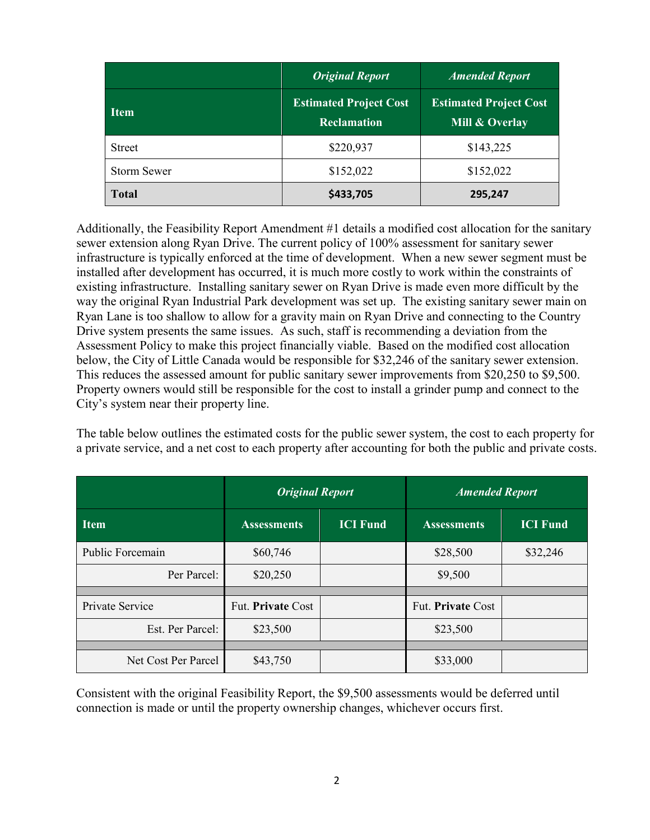|                    | <b>Original Report</b>                              | <b>Amended Report</b>                           |  |  |
|--------------------|-----------------------------------------------------|-------------------------------------------------|--|--|
| <b>Item</b>        | <b>Estimated Project Cost</b><br><b>Reclamation</b> | <b>Estimated Project Cost</b><br>Mill & Overlay |  |  |
| <b>Street</b>      | \$220,937                                           | \$143,225                                       |  |  |
| <b>Storm Sewer</b> | \$152,022                                           | \$152,022                                       |  |  |
| <b>Total</b>       | \$433,705                                           | 295,247                                         |  |  |

Additionally, the Feasibility Report Amendment #1 details a modified cost allocation for the sanitary sewer extension along Ryan Drive. The current policy of 100% assessment for sanitary sewer infrastructure is typically enforced at the time of development. When a new sewer segment must be installed after development has occurred, it is much more costly to work within the constraints of existing infrastructure. Installing sanitary sewer on Ryan Drive is made even more difficult by the way the original Ryan Industrial Park development was set up. The existing sanitary sewer main on Ryan Lane is too shallow to allow for a gravity main on Ryan Drive and connecting to the Country Drive system presents the same issues. As such, staff is recommending a deviation from the Assessment Policy to make this project financially viable. Based on the modified cost allocation below, the City of Little Canada would be responsible for \$32,246 of the sanitary sewer extension. This reduces the assessed amount for public sanitary sewer improvements from \$20,250 to \$9,500. Property owners would still be responsible for the cost to install a grinder pump and connect to the City's system near their property line.

The table below outlines the estimated costs for the public sewer system, the cost to each property for a private service, and a net cost to each property after accounting for both the public and private costs.

|                     | <b>Original Report</b> |                 | <b>Amended Report</b> |                 |  |  |
|---------------------|------------------------|-----------------|-----------------------|-----------------|--|--|
| <b>Item</b>         | <b>Assessments</b>     | <b>ICI Fund</b> | <b>Assessments</b>    | <b>ICI Fund</b> |  |  |
| Public Forcemain    | \$60,746               |                 | \$28,500              | \$32,246        |  |  |
| Per Parcel:         | \$20,250               |                 | \$9,500               |                 |  |  |
|                     |                        |                 |                       |                 |  |  |
| Private Service     | Fut. Private Cost      |                 | Fut. Private Cost     |                 |  |  |
| Est. Per Parcel:    | \$23,500               |                 | \$23,500              |                 |  |  |
|                     |                        |                 |                       |                 |  |  |
| Net Cost Per Parcel | \$43,750               |                 | \$33,000              |                 |  |  |

Consistent with the original Feasibility Report, the \$9,500 assessments would be deferred until connection is made or until the property ownership changes, whichever occurs first.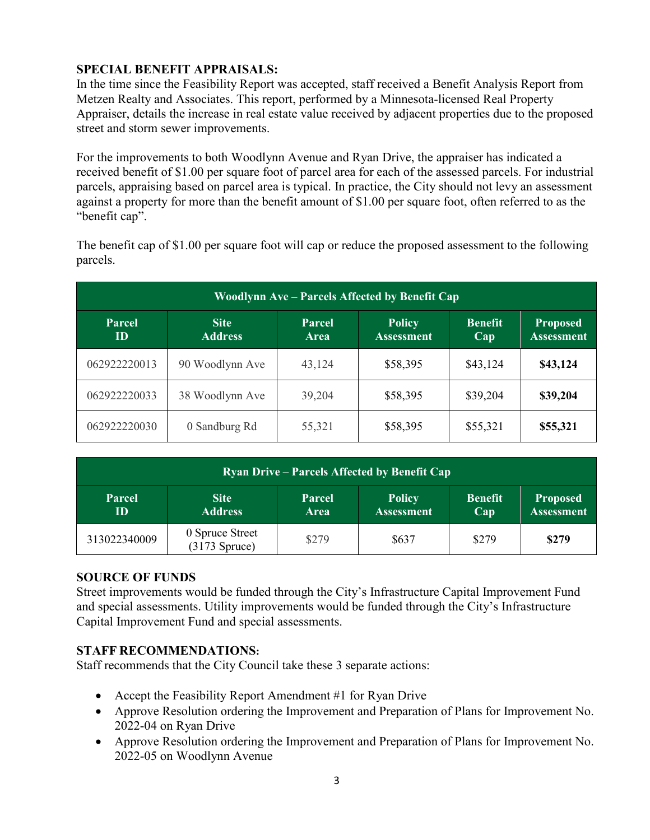#### **SPECIAL BENEFIT APPRAISALS:**

In the time since the Feasibility Report was accepted, staff received a Benefit Analysis Report from Metzen Realty and Associates. This report, performed by a Minnesota-licensed Real Property Appraiser, details the increase in real estate value received by adjacent properties due to the proposed street and storm sewer improvements.

For the improvements to both Woodlynn Avenue and Ryan Drive, the appraiser has indicated a received benefit of \$1.00 per square foot of parcel area for each of the assessed parcels. For industrial parcels, appraising based on parcel area is typical. In practice, the City should not levy an assessment against a property for more than the benefit amount of \$1.00 per square foot, often referred to as the "benefit cap".

| Woodlynn Ave – Parcels Affected by Benefit Cap |                               |                       |                                    |                       |                                      |  |  |  |  |
|------------------------------------------------|-------------------------------|-----------------------|------------------------------------|-----------------------|--------------------------------------|--|--|--|--|
| Parcel<br>ID                                   | <b>Site</b><br><b>Address</b> | Parcel<br><b>Area</b> | <b>Policy</b><br><b>Assessment</b> | <b>Benefit</b><br>Cap | <b>Proposed</b><br><b>Assessment</b> |  |  |  |  |
| 062922220013                                   | 90 Woodlynn Ave               | 43,124                | \$58,395                           | \$43,124              | \$43,124                             |  |  |  |  |
| 062922220033                                   | 38 Woodlynn Ave               | 39,204                | \$58,395                           | \$39,204              | \$39,204                             |  |  |  |  |
| 062922220030                                   | 0 Sandburg Rd                 | 55,321                | \$58,395                           | \$55,321              | \$55,321                             |  |  |  |  |

The benefit cap of \$1.00 per square foot will cap or reduce the proposed assessment to the following parcels.

| <b>Ryan Drive – Parcels Affected by Benefit Cap</b>  |                                               |                       |                                    |                       |                                      |  |  |  |  |
|------------------------------------------------------|-----------------------------------------------|-----------------------|------------------------------------|-----------------------|--------------------------------------|--|--|--|--|
| <b>Site</b><br><b>Parcel</b><br><b>Address</b><br>ID |                                               | Parcel<br><b>Area</b> | <b>Policy</b><br><b>Assessment</b> | <b>Benefit</b><br>Cap | <b>Proposed</b><br><b>Assessment</b> |  |  |  |  |
| 313022340009                                         | 0 Spruce Street<br>$(3\overline{17}3$ Spruce) | \$279                 | \$637                              | \$279                 | \$279                                |  |  |  |  |

#### **SOURCE OF FUNDS**

Street improvements would be funded through the City's Infrastructure Capital Improvement Fund and special assessments. Utility improvements would be funded through the City's Infrastructure Capital Improvement Fund and special assessments.

#### **STAFF RECOMMENDATIONS:**

Staff recommends that the City Council take these 3 separate actions:

- Accept the Feasibility Report Amendment #1 for Ryan Drive
- Approve Resolution ordering the Improvement and Preparation of Plans for Improvement No. 2022-04 on Ryan Drive
- Approve Resolution ordering the Improvement and Preparation of Plans for Improvement No. 2022-05 on Woodlynn Avenue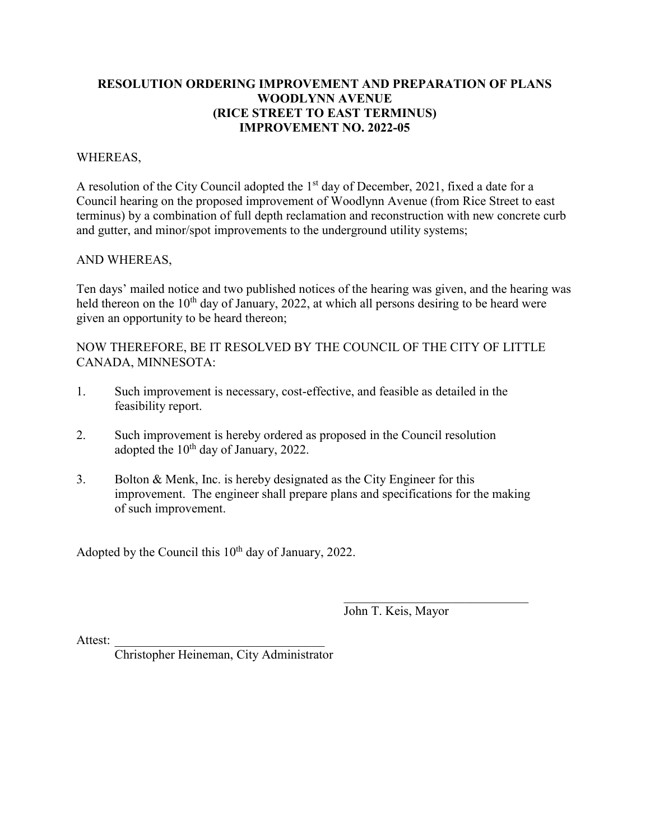#### **RESOLUTION ORDERING IMPROVEMENT AND PREPARATION OF PLANS WOODLYNN AVENUE (RICE STREET TO EAST TERMINUS) IMPROVEMENT NO. 2022-05**

#### WHEREAS,

A resolution of the City Council adopted the  $1<sup>st</sup>$  day of December, 2021, fixed a date for a Council hearing on the proposed improvement of Woodlynn Avenue (from Rice Street to east terminus) by a combination of full depth reclamation and reconstruction with new concrete curb and gutter, and minor/spot improvements to the underground utility systems;

#### AND WHEREAS,

Ten days' mailed notice and two published notices of the hearing was given, and the hearing was held thereon on the  $10<sup>th</sup>$  day of January, 2022, at which all persons desiring to be heard were given an opportunity to be heard thereon;

NOW THEREFORE, BE IT RESOLVED BY THE COUNCIL OF THE CITY OF LITTLE CANADA, MINNESOTA:

- 1. Such improvement is necessary, cost-effective, and feasible as detailed in the feasibility report.
- 2. Such improvement is hereby ordered as proposed in the Council resolution adopted the  $10^{th}$  day of January, 2022.
- 3. Bolton & Menk, Inc. is hereby designated as the City Engineer for this improvement. The engineer shall prepare plans and specifications for the making of such improvement.

Adopted by the Council this 10<sup>th</sup> day of January, 2022.

John T. Keis, Mayor

Attest:

Christopher Heineman, City Administrator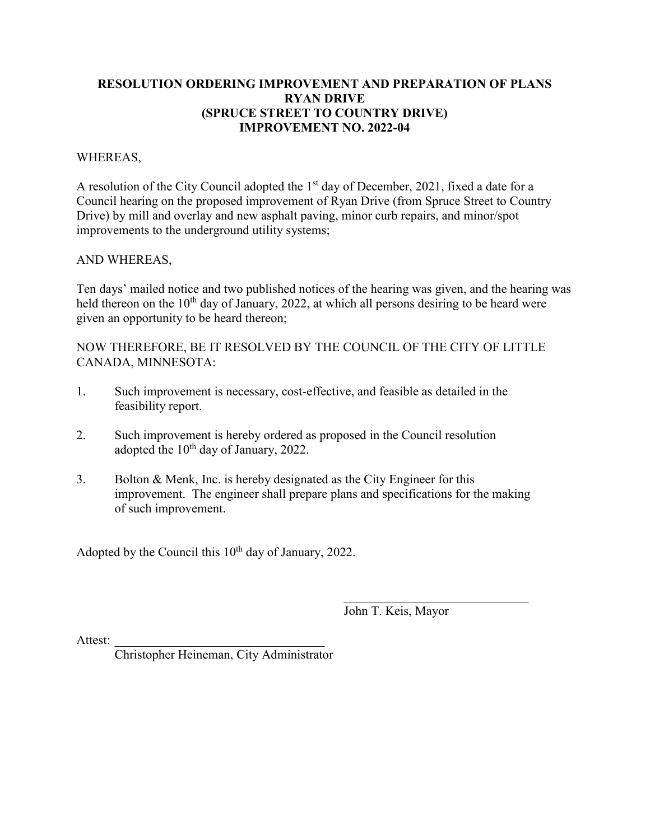#### **RESOLUTION ORDERING IMPROVEMENT AND PREPARATION OF PLANS RYAN DRIVE (SPRUCE STREET TO COUNTRY DRIVE) IMPROVEMENT NO. 2022-04**

#### WHEREAS,

A resolution of the City Council adopted the  $1<sup>st</sup>$  day of December, 2021, fixed a date for a Council hearing on the proposed improvement of Ryan Drive (from Spruce Street to Country Drive) by mill and overlay and new asphalt paving, minor curb repairs, and minor/spot improvements to the underground utility systems;

#### AND WHEREAS,

Ten days' mailed notice and two published notices of the hearing was given, and the hearing was held thereon on the 10<sup>th</sup> day of January, 2022, at which all persons desiring to be heard were given an opportunity to be heard thereon;

NOW THEREFORE, BE IT RESOLVED BY THE COUNCIL OF THE CITY OF LITTLE CANADA, MINNESOTA:

- 1. Such improvement is necessary, cost-effective, and feasible as detailed in the feasibility report.
- 2. Such improvement is hereby ordered as proposed in the Council resolution adopted the  $10^{th}$  day of January, 2022.
- 3. Bolton & Menk, Inc. is hereby designated as the City Engineer for this improvement. The engineer shall prepare plans and specifications for the making of such improvement.

Adopted by the Council this 10<sup>th</sup> day of January, 2022.

John T. Keis, Mayor

Attest:

Christopher Heineman, City Administrator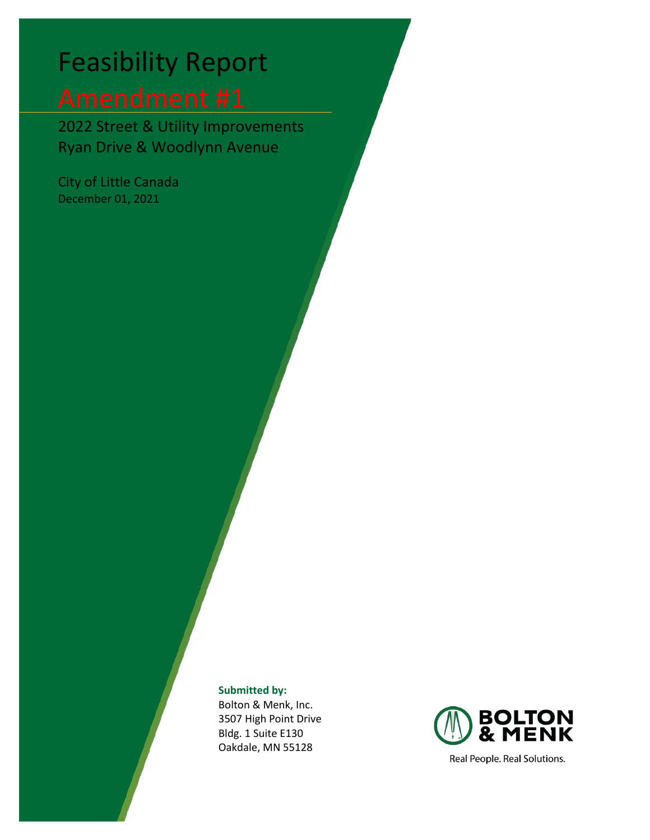# Feasibility Report

2022 Street & Utility Improvements Ryan Drive & Woodlynn Avenue

City of Little Canada December 01, 2021

**Submitted by:**

Bolton & Menk, Inc. 3507 High Point Drive Bldg. 1 Suite E130 Oakdale, MN 55128



Real People. Real Solutions.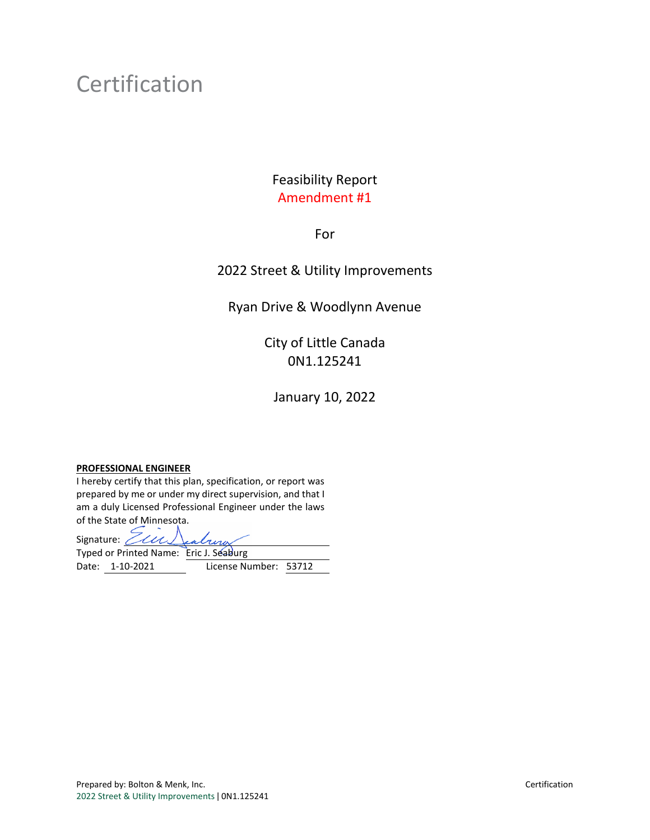### Certification

### Feasibility Report Amendment #1

#### For

#### 2022 Street & Utility Improvements

#### Ryan Drive & Woodlynn Avenue

### City of Little Canada 0N1.125241

January 10, 2022

#### **PROFESSIONAL ENGINEER**

I hereby certify that this plan, specification, or report was prepared by me or under my direct supervision, and that I am a duly Licensed Professional Engineer under the laws of the State of Minnesota.

Signature: *Ein* Typed or Printed Name: Eric J. Seaburg Date: 1-10-2021 License Number: 53712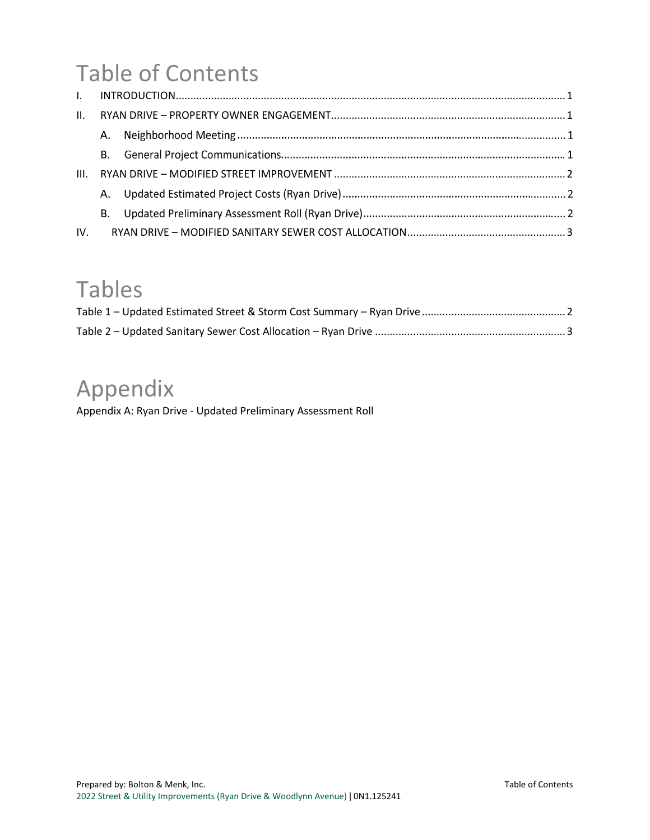## Table of Contents

| III. |           |  |
|------|-----------|--|
|      |           |  |
|      | <b>B.</b> |  |
| IV.  |           |  |

### Tables

### Appendix

Appendix A: Ryan Drive - [Updated Preliminary Assessment Roll](#page-12-0)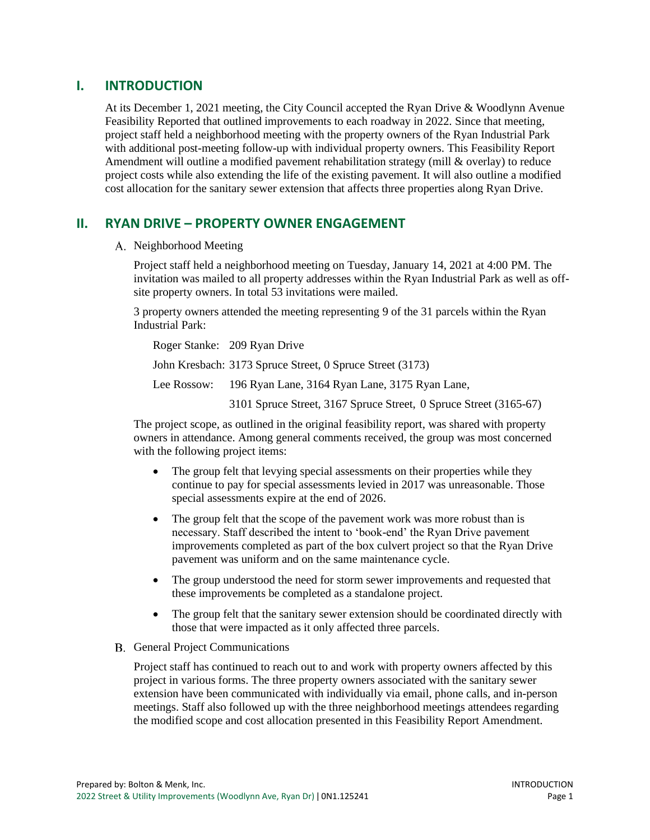#### <span id="page-9-0"></span>**I. INTRODUCTION**

At its December 1, 2021 meeting, the City Council accepted the Ryan Drive & Woodlynn Avenue Feasibility Reported that outlined improvements to each roadway in 2022. Since that meeting, project staff held a neighborhood meeting with the property owners of the Ryan Industrial Park with additional post-meeting follow-up with individual property owners. This Feasibility Report Amendment will outline a modified pavement rehabilitation strategy (mill & overlay) to reduce project costs while also extending the life of the existing pavement. It will also outline a modified cost allocation for the sanitary sewer extension that affects three properties along Ryan Drive.

#### <span id="page-9-1"></span>**II. RYAN DRIVE – PROPERTY OWNER ENGAGEMENT**

A. Neighborhood Meeting

Project staff held a neighborhood meeting on Tuesday, January 14, 2021 at 4:00 PM. The invitation was mailed to all property addresses within the Ryan Industrial Park as well as offsite property owners. In total 53 invitations were mailed.

3 property owners attended the meeting representing 9 of the 31 parcels within the Ryan Industrial Park:

Roger Stanke: 209 Ryan Drive John Kresbach: 3173 Spruce Street, 0 Spruce Street (3173) Lee Rossow: 196 Ryan Lane, 3164 Ryan Lane, 3175 Ryan Lane,

3101 Spruce Street, 3167 Spruce Street, 0 Spruce Street (3165-67)

The project scope, as outlined in the original feasibility report, was shared with property owners in attendance. Among general comments received, the group was most concerned with the following project items:

- The group felt that levying special assessments on their properties while they continue to pay for special assessments levied in 2017 was unreasonable. Those special assessments expire at the end of 2026.
- The group felt that the scope of the pavement work was more robust than is necessary. Staff described the intent to 'book-end' the Ryan Drive pavement improvements completed as part of the box culvert project so that the Ryan Drive pavement was uniform and on the same maintenance cycle.
- The group understood the need for storm sewer improvements and requested that these improvements be completed as a standalone project.
- The group felt that the sanitary sewer extension should be coordinated directly with those that were impacted as it only affected three parcels.
- B. General Project Communications

Project staff has continued to reach out to and work with property owners affected by this project in various forms. The three property owners associated with the sanitary sewer extension have been communicated with individually via email, phone calls, and in-person meetings. Staff also followed up with the three neighborhood meetings attendees regarding the modified scope and cost allocation presented in this Feasibility Report Amendment.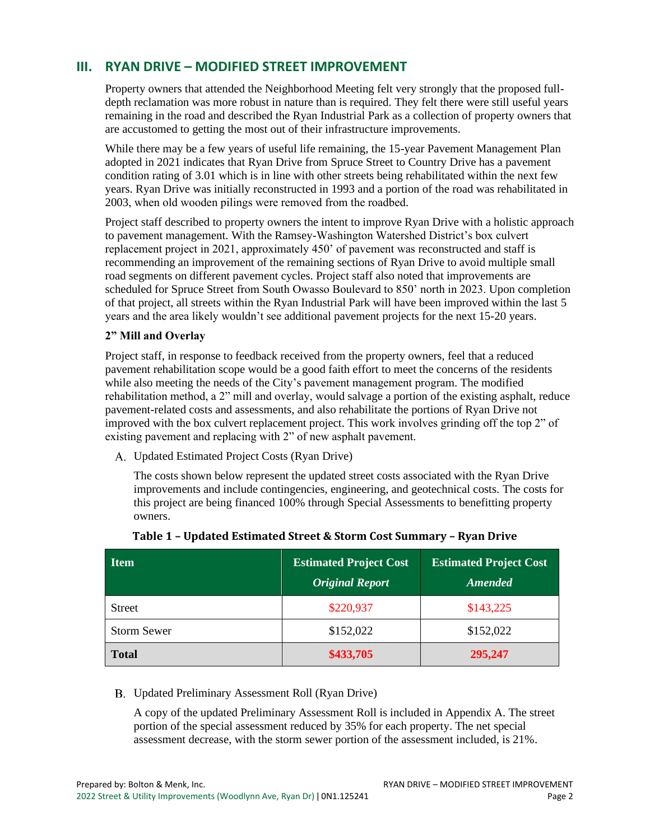#### <span id="page-10-0"></span>**III. RYAN DRIVE – MODIFIED STREET IMPROVEMENT**

Property owners that attended the Neighborhood Meeting felt very strongly that the proposed fulldepth reclamation was more robust in nature than is required. They felt there were still useful years remaining in the road and described the Ryan Industrial Park as a collection of property owners that are accustomed to getting the most out of their infrastructure improvements.

While there may be a few years of useful life remaining, the 15-year Pavement Management Plan adopted in 2021 indicates that Ryan Drive from Spruce Street to Country Drive has a pavement condition rating of 3.01 which is in line with other streets being rehabilitated within the next few years. Ryan Drive was initially reconstructed in 1993 and a portion of the road was rehabilitated in 2003, when old wooden pilings were removed from the roadbed.

Project staff described to property owners the intent to improve Ryan Drive with a holistic approach to pavement management. With the Ramsey-Washington Watershed District's box culvert replacement project in 2021, approximately 450' of pavement was reconstructed and staff is recommending an improvement of the remaining sections of Ryan Drive to avoid multiple small road segments on different pavement cycles. Project staff also noted that improvements are scheduled for Spruce Street from South Owasso Boulevard to 850' north in 2023. Upon completion of that project, all streets within the Ryan Industrial Park will have been improved within the last 5 years and the area likely wouldn't see additional pavement projects for the next 15-20 years.

#### **2" Mill and Overlay**

Project staff, in response to feedback received from the property owners, feel that a reduced pavement rehabilitation scope would be a good faith effort to meet the concerns of the residents while also meeting the needs of the City's pavement management program. The modified rehabilitation method, a 2" mill and overlay, would salvage a portion of the existing asphalt, reduce pavement-related costs and assessments, and also rehabilitate the portions of Ryan Drive not improved with the box culvert replacement project. This work involves grinding off the top 2" of existing pavement and replacing with 2" of new asphalt pavement.

Updated Estimated Project Costs (Ryan Drive)

The costs shown below represent the updated street costs associated with the Ryan Drive improvements and include contingencies, engineering, and geotechnical costs. The costs for this project are being financed 100% through Special Assessments to benefitting property owners.

<span id="page-10-1"></span>

| <b>Item</b>        | <b>Estimated Project Cost</b><br><b>Original Report</b> | <b>Estimated Project Cost</b><br><b>Amended</b> |
|--------------------|---------------------------------------------------------|-------------------------------------------------|
| <b>Street</b>      | \$220,937                                               | \$143,225                                       |
| <b>Storm Sewer</b> | \$152,022                                               | \$152,022                                       |
| <b>Total</b>       | \$433,705                                               | 295,247                                         |

#### Updated Preliminary Assessment Roll (Ryan Drive)

A copy of the updated Preliminary Assessment Roll is included in Appendix A. The street portion of the special assessment reduced by 35% for each property. The net special assessment decrease, with the storm sewer portion of the assessment included, is 21%.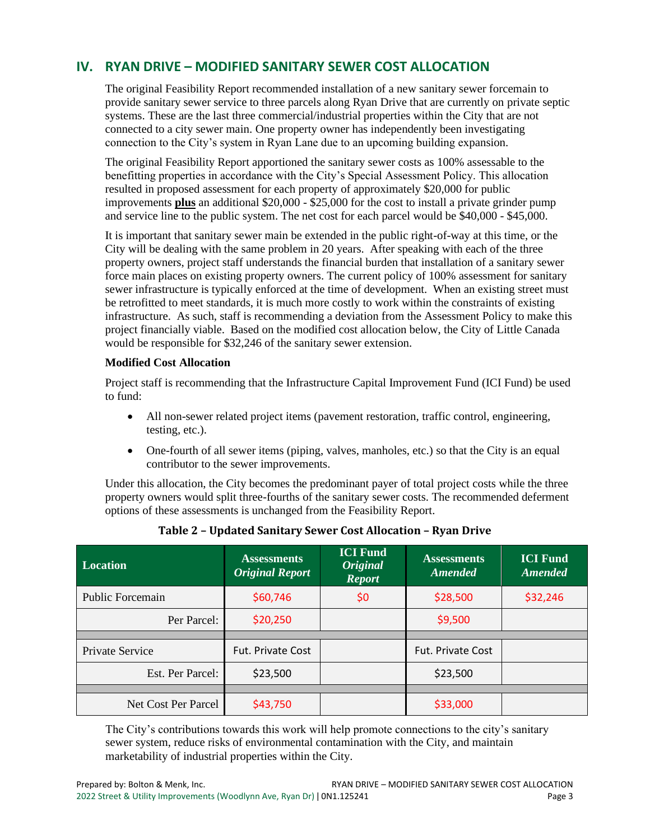#### <span id="page-11-0"></span>**IV. RYAN DRIVE – MODIFIED SANITARY SEWER COST ALLOCATION**

The original Feasibility Report recommended installation of a new sanitary sewer forcemain to provide sanitary sewer service to three parcels along Ryan Drive that are currently on private septic systems. These are the last three commercial/industrial properties within the City that are not connected to a city sewer main. One property owner has independently been investigating connection to the City's system in Ryan Lane due to an upcoming building expansion.

The original Feasibility Report apportioned the sanitary sewer costs as 100% assessable to the benefitting properties in accordance with the City's Special Assessment Policy. This allocation resulted in proposed assessment for each property of approximately \$20,000 for public improvements **plus** an additional \$20,000 - \$25,000 for the cost to install a private grinder pump and service line to the public system. The net cost for each parcel would be \$40,000 - \$45,000.

It is important that sanitary sewer main be extended in the public right-of-way at this time, or the City will be dealing with the same problem in 20 years. After speaking with each of the three property owners, project staff understands the financial burden that installation of a sanitary sewer force main places on existing property owners. The current policy of 100% assessment for sanitary sewer infrastructure is typically enforced at the time of development. When an existing street must be retrofitted to meet standards, it is much more costly to work within the constraints of existing infrastructure. As such, staff is recommending a deviation from the Assessment Policy to make this project financially viable. Based on the modified cost allocation below, the City of Little Canada would be responsible for \$32,246 of the sanitary sewer extension.

#### **Modified Cost Allocation**

Project staff is recommending that the Infrastructure Capital Improvement Fund (ICI Fund) be used to fund:

- All non-sewer related project items (pavement restoration, traffic control, engineering, testing, etc.).
- One-fourth of all sewer items (piping, valves, manholes, etc.) so that the City is an equal contributor to the sewer improvements.

Under this allocation, the City becomes the predominant payer of total project costs while the three property owners would split three-fourths of the sanitary sewer costs. The recommended deferment options of these assessments is unchanged from the Feasibility Report.

<span id="page-11-1"></span>

| <b>Location</b>         | <b>Assessments</b><br><b>Original Report</b> | <b>ICI Fund</b><br><b>Original</b><br><b>Report</b> | <b>Assessments</b><br><b>Amended</b> | <b>ICI Fund</b><br><b>Amended</b> |
|-------------------------|----------------------------------------------|-----------------------------------------------------|--------------------------------------|-----------------------------------|
| <b>Public Forcemain</b> | \$60,746                                     | \$0                                                 | \$28,500                             | \$32,246                          |
| Per Parcel:             | \$20,250                                     |                                                     | \$9,500                              |                                   |
|                         |                                              |                                                     |                                      |                                   |
| Private Service         | <b>Fut. Private Cost</b>                     |                                                     | <b>Fut. Private Cost</b>             |                                   |
| Est. Per Parcel:        | \$23,500                                     |                                                     | \$23,500                             |                                   |
|                         |                                              |                                                     |                                      |                                   |
| Net Cost Per Parcel     | \$43,750                                     |                                                     | \$33,000                             |                                   |

#### **Table 2 – Updated Sanitary Sewer Cost Allocation – Ryan Drive**

The City's contributions towards this work will help promote connections to the city's sanitary sewer system, reduce risks of environmental contamination with the City, and maintain marketability of industrial properties within the City.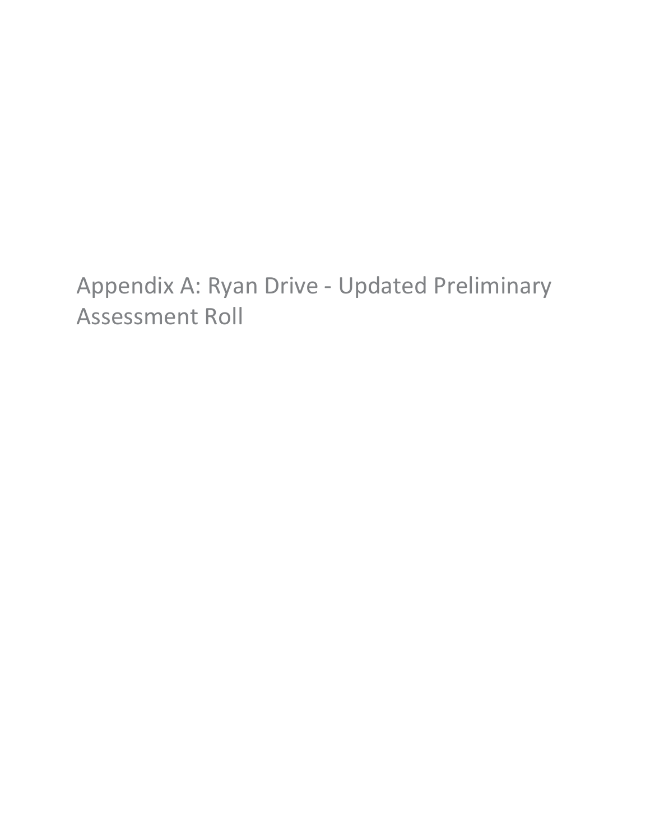## <span id="page-12-0"></span>Appendix A: Ryan Drive - Updated Preliminary Assessment Roll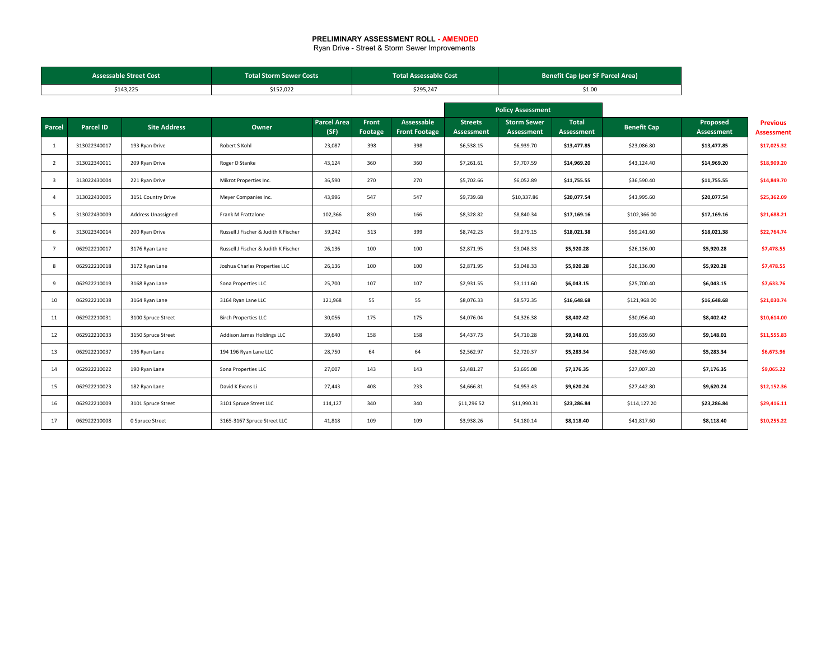#### **PRELIMINARY ASSESSMENT ROLL - AMENDED**

Ryan Drive - Street & Storm Sewer Improvements

| <b>Assessable Street Cost</b> |                  |                     | <b>Total Storm Sewer Costs</b>       |                            | <b>Total Assessable Cost</b> |                                    |                              |                                         | <b>Benefit Cap (per SF Parcel Area)</b> |                    |                        |                                      |
|-------------------------------|------------------|---------------------|--------------------------------------|----------------------------|------------------------------|------------------------------------|------------------------------|-----------------------------------------|-----------------------------------------|--------------------|------------------------|--------------------------------------|
|                               |                  | \$143,225           | \$152,022                            |                            |                              | \$295,247                          |                              |                                         | \$1.00                                  |                    |                        |                                      |
|                               |                  |                     |                                      |                            |                              |                                    |                              | <b>Policy Assessment</b>                |                                         |                    |                        |                                      |
| Parcel                        | <b>Parcel ID</b> | <b>Site Address</b> | Owner                                | <b>Parcel Area</b><br>(SF) | Front<br>Footage             | Assessable<br><b>Front Footage</b> | <b>Streets</b><br>Assessment | <b>Storm Sewer</b><br><b>Assessment</b> | Total<br><b>Assessment</b>              | <b>Benefit Cap</b> | Proposed<br>Assessment | <b>Previous</b><br><b>Assessment</b> |
| 1                             | 313022340017     | 193 Ryan Drive      | Robert S Kohl                        | 23,087                     | 398                          | 398                                | \$6,538.15                   | \$6,939.70                              | \$13,477.85                             | \$23,086.80        | \$13,477.85            | \$17,025.32                          |
| $\overline{2}$                | 313022340011     | 209 Ryan Drive      | Roger D Stanke                       | 43,124                     | 360                          | 360                                | \$7,261.61                   | \$7,707.59                              | \$14,969.20                             | \$43,124.40        | \$14,969.20            | \$18,909.20                          |
| $\overline{\mathbf{3}}$       | 313022430004     | 221 Ryan Drive      | Mikrot Properties Inc.               | 36,590                     | 270                          | 270                                | \$5,702.66                   | \$6,052.89                              | \$11,755.55                             | \$36,590.40        | \$11,755.55            | \$14,849.70                          |
| $\overline{4}$                | 313022430005     | 3151 Country Drive  | Meyer Companies Inc.                 | 43,996                     | 547                          | 547                                | \$9,739.68                   | \$10,337.86                             | \$20,077.54                             | \$43,995.60        | \$20,077.54            | \$25,362.09                          |
| 5                             | 313022430009     | Address Unassigned  | Frank M Frattalone                   | 102,366                    | 830                          | 166                                | \$8,328.82                   | \$8,840.34                              | \$17,169.16                             | \$102,366.00       | \$17,169.16            | \$21,688.21                          |
| 6                             | 313022340014     | 200 Ryan Drive      | Russell J Fischer & Judith K Fischer | 59,242                     | 513                          | 399                                | \$8,742.23                   | \$9,279.15                              | \$18,021.38                             | \$59,241.60        | \$18,021.38            | \$22,764.74                          |
| $\overline{7}$                | 062922210017     | 3176 Ryan Lane      | Russell J Fischer & Judith K Fischer | 26,136                     | 100                          | 100                                | \$2,871.95                   | \$3,048.33                              | \$5,920.28                              | \$26,136.00        | \$5,920.28             | \$7,478.55                           |
| 8                             | 062922210018     | 3172 Ryan Lane      | Joshua Charles Properties LLC        | 26,136                     | 100                          | 100                                | \$2,871.95                   | \$3,048.33                              | \$5,920.28                              | \$26,136.00        | \$5,920.28             | \$7,478.55                           |
| 9                             | 062922210019     | 3168 Ryan Lane      | Sona Properties LLC                  | 25,700                     | 107                          | 107                                | \$2,931.55                   | \$3,111.60                              | \$6,043.15                              | \$25,700.40        | \$6,043.15             | \$7,633.76                           |
| 10                            | 062922210038     | 3164 Ryan Lane      | 3164 Ryan Lane LLC                   | 121,968                    | 55                           | 55                                 | \$8,076.33                   | \$8,572.35                              | \$16,648.68                             | \$121,968.00       | \$16,648.68            | \$21,030.74                          |
| 11                            | 062922210031     | 3100 Spruce Street  | <b>Birch Properties LLC</b>          | 30,056                     | 175                          | 175                                | \$4,076.04                   | \$4,326.38                              | \$8,402.42                              | \$30,056.40        | \$8,402.42             | \$10,614.00                          |
| 12                            | 062922210033     | 3150 Spruce Street  | Addison James Holdings LLC           | 39,640                     | 158                          | 158                                | \$4,437.73                   | \$4,710.28                              | \$9,148.01                              | \$39,639.60        | \$9,148.01             | \$11,555.83                          |
| 13                            | 062922210037     | 196 Ryan Lane       | 194 196 Ryan Lane LLC                | 28,750                     | 64                           | 64                                 | \$2,562.97                   | \$2,720.37                              | \$5,283.34                              | \$28,749.60        | \$5,283.34             | \$6,673.96                           |
| 14                            | 062922210022     | 190 Ryan Lane       | Sona Properties LLC                  | 27,007                     | 143                          | 143                                | \$3,481.27                   | \$3,695.08                              | \$7,176.35                              | \$27,007.20        | \$7,176.35             | \$9,065.22                           |
| 15                            | 062922210023     | 182 Ryan Lane       | David K Evans Li                     | 27,443                     | 408                          | 233                                | \$4,666.81                   | \$4,953.43                              | \$9,620.24                              | \$27,442.80        | \$9,620.24             | \$12,152.36                          |
| 16                            | 062922210009     | 3101 Spruce Street  | 3101 Spruce Street LLC               | 114,127                    | 340                          | 340                                | \$11,296.52                  | \$11,990.31                             | \$23,286.84                             | \$114,127.20       | \$23,286.84            | \$29,416.11                          |
| 17                            | 062922210008     | 0 Spruce Street     | 3165-3167 Spruce Street LLC          | 41,818                     | 109                          | 109                                | \$3,938.26                   | \$4,180.14                              | \$8,118.40                              | \$41,817.60        | \$8,118.40             | \$10,255.22                          |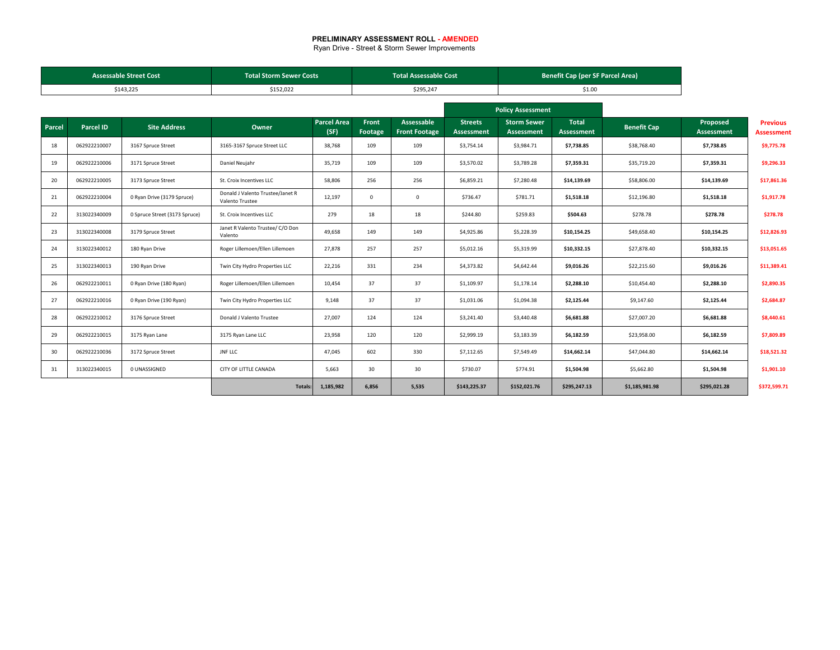#### **PRELIMINARY ASSESSMENT ROLL - AMENDED**

Ryan Drive - Street & Storm Sewer Improvements

|        | <b>Assessable Street Cost</b><br><b>Total Storm Sewer Costs</b> |                               |                                                     |                            |                  | <b>Total Assessable Cost</b>       |                              |                                  | <b>Benefit Cap (per SF Parcel Area)</b> |                    |                        |                                      |
|--------|-----------------------------------------------------------------|-------------------------------|-----------------------------------------------------|----------------------------|------------------|------------------------------------|------------------------------|----------------------------------|-----------------------------------------|--------------------|------------------------|--------------------------------------|
|        |                                                                 | \$143,225                     | \$152,022                                           |                            |                  | \$295,247                          |                              |                                  | \$1.00                                  |                    |                        |                                      |
|        |                                                                 |                               |                                                     |                            |                  |                                    |                              | <b>Policy Assessment</b>         |                                         |                    |                        |                                      |
| Parcel | <b>Parcel ID</b>                                                | <b>Site Address</b>           | Owner                                               | <b>Parcel Area</b><br>(SF) | Front<br>Footage | Assessable<br><b>Front Footage</b> | <b>Streets</b><br>Assessment | <b>Storm Sewer</b><br>Assessment | <b>Total</b><br>Assessment              | <b>Benefit Cap</b> | Proposed<br>Assessment | <b>Previous</b><br><b>Assessment</b> |
| 18     | 062922210007                                                    | 3167 Spruce Street            | 3165-3167 Spruce Street LLC                         | 38,768                     | 109              | 109                                | \$3,754.14                   | \$3,984.71                       | \$7,738.85                              | \$38,768.40        | \$7,738.85             | \$9,775.78                           |
| 19     | 062922210006                                                    | 3171 Spruce Street            | Daniel Neujahr                                      | 35,719                     | 109              | 109                                | \$3,570.02                   | \$3,789.28                       | \$7,359.31                              | \$35,719.20        | \$7,359.31             | \$9,296.33                           |
| 20     | 062922210005                                                    | 3173 Spruce Street            | St. Croix Incentives LLC                            | 58,806                     | 256              | 256                                | \$6,859.21                   | \$7,280.48                       | \$14,139.69                             | \$58,806.00        | \$14,139.69            | \$17,861.36                          |
| 21     | 062922210004                                                    | 0 Ryan Drive (3179 Spruce)    | Donald J Valento Trustee/Janet R<br>Valento Trustee | 12,197                     | $\mathbf{0}$     | $\mathbf 0$                        | \$736.47                     | \$781.71                         | \$1,518.18                              | \$12,196.80        | \$1,518.18             | \$1,917.78                           |
| 22     | 313022340009                                                    | 0 Spruce Street (3173 Spruce) | St. Croix Incentives LLC                            | 279                        | 18               | 18                                 | \$244.80                     | \$259.83                         | \$504.63                                | \$278.78           | \$278.78               | \$278.78                             |
| 23     | 313022340008                                                    | 3179 Spruce Street            | Janet R Valento Trustee/ C/O Don<br>Valento         | 49,658                     | 149              | 149                                | \$4,925.86                   | \$5,228.39                       | \$10,154.25                             | \$49,658.40        | \$10,154.25            | \$12,826.93                          |
| 24     | 313022340012                                                    | 180 Ryan Drive                | Roger Lillemoen/Ellen Lillemoen                     | 27,878                     | 257              | 257                                | \$5,012.16                   | \$5,319.99                       | \$10,332.15                             | \$27,878.40        | \$10,332.15            | \$13,051.65                          |
| 25     | 313022340013                                                    | 190 Ryan Drive                | Twin City Hydro Properties LLC                      | 22,216                     | 331              | 234                                | \$4,373.82                   | \$4,642.44                       | \$9,016.26                              | \$22,215.60        | \$9,016.26             | \$11,389.41                          |
| 26     | 062922210011                                                    | 0 Ryan Drive (180 Ryan)       | Roger Lillemoen/Ellen Lillemoen                     | 10,454                     | 37               | 37                                 | \$1,109.97                   | \$1,178.14                       | \$2,288.10                              | \$10,454.40        | \$2,288.10             | \$2,890.35                           |
| 27     | 062922210016                                                    | 0 Ryan Drive (190 Ryan)       | Twin City Hydro Properties LLC                      | 9,148                      | 37               | 37                                 | \$1,031.06                   | \$1,094.38                       | \$2,125.44                              | \$9,147.60         | \$2,125.44             | \$2,684.87                           |
| 28     | 062922210012                                                    | 3176 Spruce Street            | Donald J Valento Trustee                            | 27,007                     | 124              | 124                                | \$3,241.40                   | \$3,440.48                       | \$6,681.88                              | \$27,007.20        | \$6,681.88             | \$8,440.61                           |
| 29     | 062922210015                                                    | 3175 Ryan Lane                | 3175 Ryan Lane LLC                                  | 23,958                     | 120              | 120                                | \$2,999.19                   | \$3,183.39                       | \$6,182.59                              | \$23,958.00        | \$6,182.59             | \$7,809.89                           |
| 30     | 062922210036                                                    | 3172 Spruce Street            | <b>JNF LLC</b>                                      | 47,045                     | 602              | 330                                | \$7,112.65                   | \$7,549.49                       | \$14,662.14                             | \$47,044.80        | \$14,662.14            | \$18,521.32                          |
| 31     | 313022340015                                                    | 0 UNASSIGNED                  | CITY OF LITTLE CANADA                               | 5,663                      | 30               | 30                                 | \$730.07                     | \$774.91                         | \$1,504.98                              | \$5,662.80         | \$1,504.98             | \$1,901.10                           |
|        |                                                                 |                               | Totals:                                             | 1,185,982                  | 6.856            | 5,535                              | \$143,225.37                 | \$152,021.76                     | \$295.247.13                            | \$1,185,981.98     | \$295.021.28           | \$372,599.71                         |